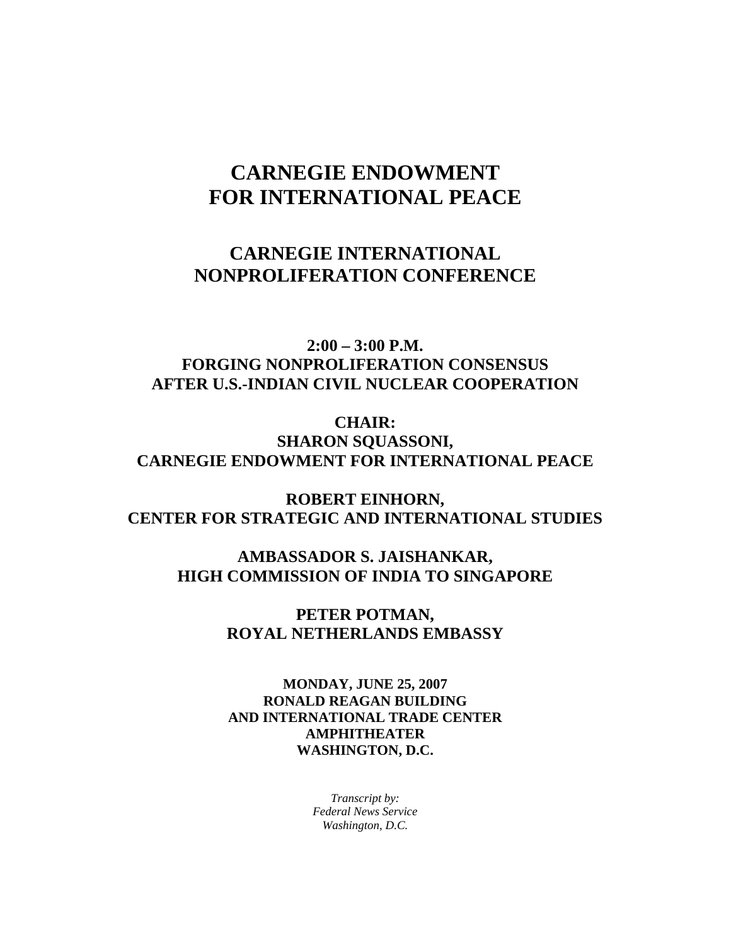## **CARNEGIE ENDOWMENT FOR INTERNATIONAL PEACE**

## **CARNEGIE INTERNATIONAL NONPROLIFERATION CONFERENCE**

**2:00 – 3:00 P.M. FORGING NONPROLIFERATION CONSENSUS AFTER U.S.-INDIAN CIVIL NUCLEAR COOPERATION** 

**CHAIR: SHARON SQUASSONI, CARNEGIE ENDOWMENT FOR INTERNATIONAL PEACE** 

**ROBERT EINHORN, CENTER FOR STRATEGIC AND INTERNATIONAL STUDIES** 

> **AMBASSADOR S. JAISHANKAR, HIGH COMMISSION OF INDIA TO SINGAPORE**

> > **PETER POTMAN, ROYAL NETHERLANDS EMBASSY**

> > **MONDAY, JUNE 25, 2007 RONALD REAGAN BUILDING AND INTERNATIONAL TRADE CENTER AMPHITHEATER WASHINGTON, D.C.**

> > > *Transcript by: Federal News Service Washington, D.C.*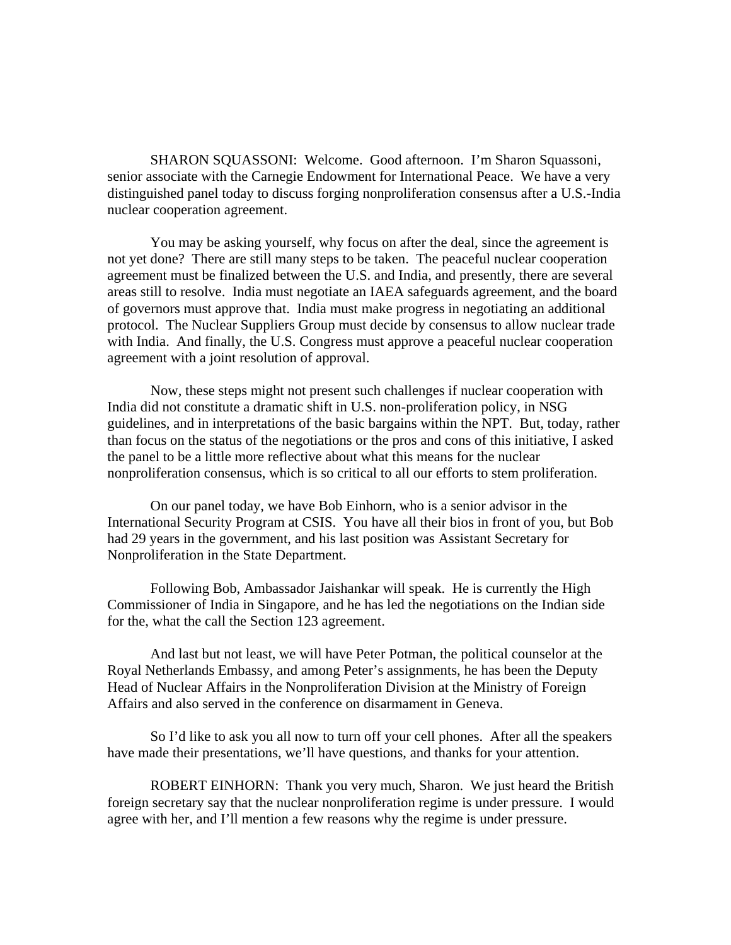SHARON SQUASSONI: Welcome. Good afternoon. I'm Sharon Squassoni, senior associate with the Carnegie Endowment for International Peace. We have a very distinguished panel today to discuss forging nonproliferation consensus after a U.S.-India nuclear cooperation agreement.

You may be asking yourself, why focus on after the deal, since the agreement is not yet done? There are still many steps to be taken. The peaceful nuclear cooperation agreement must be finalized between the U.S. and India, and presently, there are several areas still to resolve. India must negotiate an IAEA safeguards agreement, and the board of governors must approve that. India must make progress in negotiating an additional protocol. The Nuclear Suppliers Group must decide by consensus to allow nuclear trade with India. And finally, the U.S. Congress must approve a peaceful nuclear cooperation agreement with a joint resolution of approval.

Now, these steps might not present such challenges if nuclear cooperation with India did not constitute a dramatic shift in U.S. non-proliferation policy, in NSG guidelines, and in interpretations of the basic bargains within the NPT. But, today, rather than focus on the status of the negotiations or the pros and cons of this initiative, I asked the panel to be a little more reflective about what this means for the nuclear nonproliferation consensus, which is so critical to all our efforts to stem proliferation.

On our panel today, we have Bob Einhorn, who is a senior advisor in the International Security Program at CSIS. You have all their bios in front of you, but Bob had 29 years in the government, and his last position was Assistant Secretary for Nonproliferation in the State Department.

Following Bob, Ambassador Jaishankar will speak. He is currently the High Commissioner of India in Singapore, and he has led the negotiations on the Indian side for the, what the call the Section 123 agreement.

And last but not least, we will have Peter Potman, the political counselor at the Royal Netherlands Embassy, and among Peter's assignments, he has been the Deputy Head of Nuclear Affairs in the Nonproliferation Division at the Ministry of Foreign Affairs and also served in the conference on disarmament in Geneva.

So I'd like to ask you all now to turn off your cell phones. After all the speakers have made their presentations, we'll have questions, and thanks for your attention.

ROBERT EINHORN: Thank you very much, Sharon. We just heard the British foreign secretary say that the nuclear nonproliferation regime is under pressure. I would agree with her, and I'll mention a few reasons why the regime is under pressure.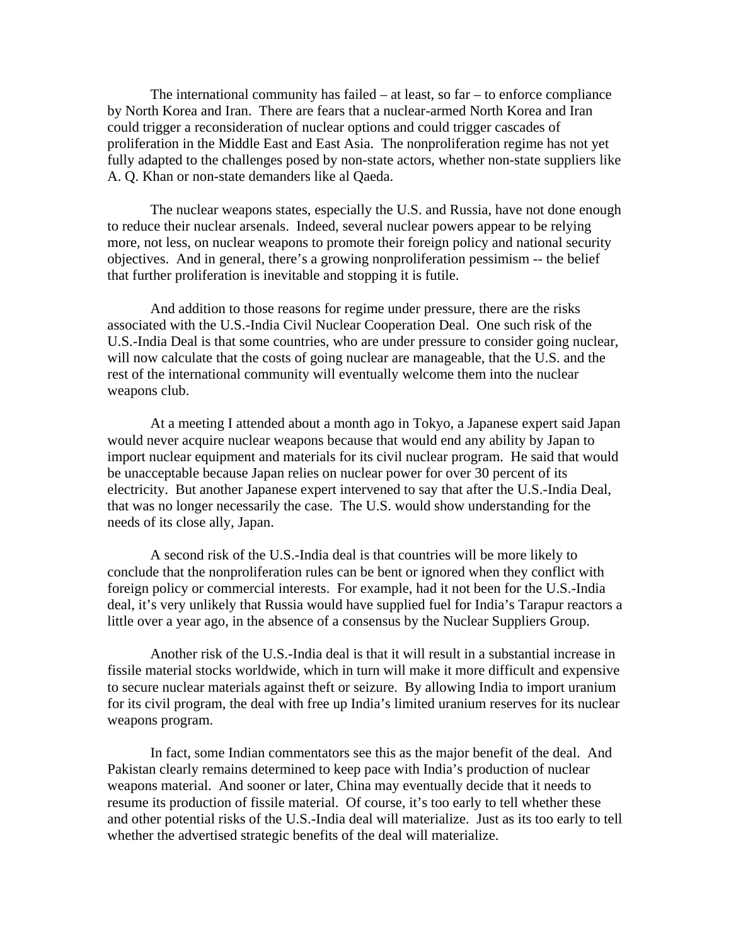The international community has failed – at least, so far – to enforce compliance by North Korea and Iran. There are fears that a nuclear-armed North Korea and Iran could trigger a reconsideration of nuclear options and could trigger cascades of proliferation in the Middle East and East Asia. The nonproliferation regime has not yet fully adapted to the challenges posed by non-state actors, whether non-state suppliers like A. Q. Khan or non-state demanders like al Qaeda.

The nuclear weapons states, especially the U.S. and Russia, have not done enough to reduce their nuclear arsenals. Indeed, several nuclear powers appear to be relying more, not less, on nuclear weapons to promote their foreign policy and national security objectives. And in general, there's a growing nonproliferation pessimism -- the belief that further proliferation is inevitable and stopping it is futile.

And addition to those reasons for regime under pressure, there are the risks associated with the U.S.-India Civil Nuclear Cooperation Deal. One such risk of the U.S.-India Deal is that some countries, who are under pressure to consider going nuclear, will now calculate that the costs of going nuclear are manageable, that the U.S. and the rest of the international community will eventually welcome them into the nuclear weapons club.

At a meeting I attended about a month ago in Tokyo, a Japanese expert said Japan would never acquire nuclear weapons because that would end any ability by Japan to import nuclear equipment and materials for its civil nuclear program. He said that would be unacceptable because Japan relies on nuclear power for over 30 percent of its electricity. But another Japanese expert intervened to say that after the U.S.-India Deal, that was no longer necessarily the case. The U.S. would show understanding for the needs of its close ally, Japan.

A second risk of the U.S.-India deal is that countries will be more likely to conclude that the nonproliferation rules can be bent or ignored when they conflict with foreign policy or commercial interests. For example, had it not been for the U.S.-India deal, it's very unlikely that Russia would have supplied fuel for India's Tarapur reactors a little over a year ago, in the absence of a consensus by the Nuclear Suppliers Group.

Another risk of the U.S.-India deal is that it will result in a substantial increase in fissile material stocks worldwide, which in turn will make it more difficult and expensive to secure nuclear materials against theft or seizure. By allowing India to import uranium for its civil program, the deal with free up India's limited uranium reserves for its nuclear weapons program.

In fact, some Indian commentators see this as the major benefit of the deal. And Pakistan clearly remains determined to keep pace with India's production of nuclear weapons material. And sooner or later, China may eventually decide that it needs to resume its production of fissile material. Of course, it's too early to tell whether these and other potential risks of the U.S.-India deal will materialize. Just as its too early to tell whether the advertised strategic benefits of the deal will materialize.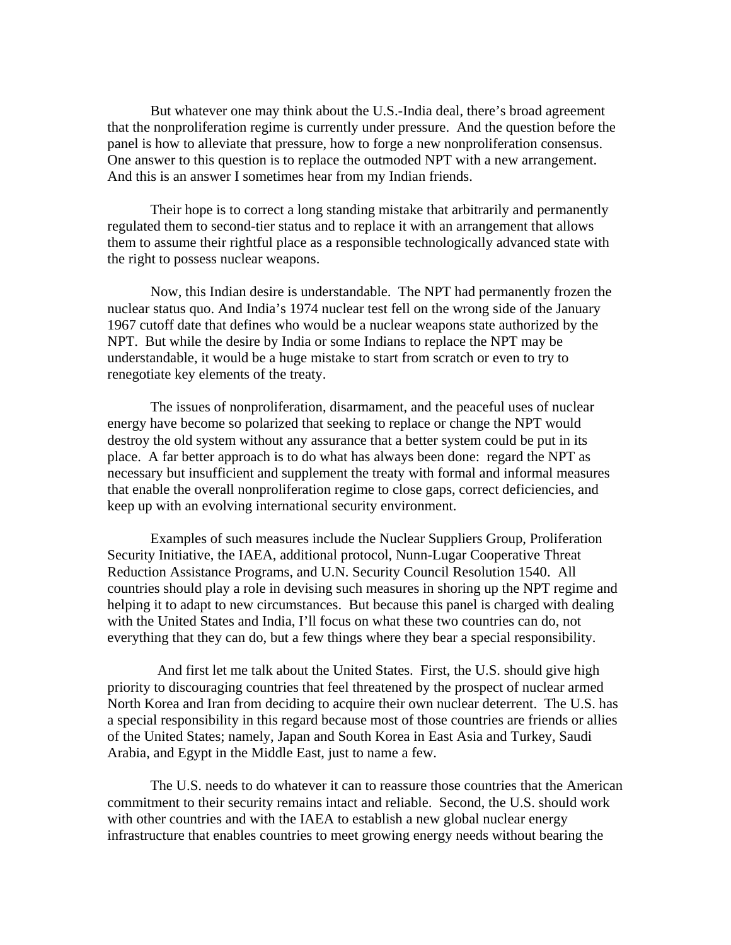But whatever one may think about the U.S.-India deal, there's broad agreement that the nonproliferation regime is currently under pressure. And the question before the panel is how to alleviate that pressure, how to forge a new nonproliferation consensus. One answer to this question is to replace the outmoded NPT with a new arrangement. And this is an answer I sometimes hear from my Indian friends.

Their hope is to correct a long standing mistake that arbitrarily and permanently regulated them to second-tier status and to replace it with an arrangement that allows them to assume their rightful place as a responsible technologically advanced state with the right to possess nuclear weapons.

Now, this Indian desire is understandable. The NPT had permanently frozen the nuclear status quo. And India's 1974 nuclear test fell on the wrong side of the January 1967 cutoff date that defines who would be a nuclear weapons state authorized by the NPT. But while the desire by India or some Indians to replace the NPT may be understandable, it would be a huge mistake to start from scratch or even to try to renegotiate key elements of the treaty.

The issues of nonproliferation, disarmament, and the peaceful uses of nuclear energy have become so polarized that seeking to replace or change the NPT would destroy the old system without any assurance that a better system could be put in its place. A far better approach is to do what has always been done: regard the NPT as necessary but insufficient and supplement the treaty with formal and informal measures that enable the overall nonproliferation regime to close gaps, correct deficiencies, and keep up with an evolving international security environment.

Examples of such measures include the Nuclear Suppliers Group, Proliferation Security Initiative, the IAEA, additional protocol, Nunn-Lugar Cooperative Threat Reduction Assistance Programs, and U.N. Security Council Resolution 1540. All countries should play a role in devising such measures in shoring up the NPT regime and helping it to adapt to new circumstances. But because this panel is charged with dealing with the United States and India, I'll focus on what these two countries can do, not everything that they can do, but a few things where they bear a special responsibility.

 And first let me talk about the United States. First, the U.S. should give high priority to discouraging countries that feel threatened by the prospect of nuclear armed North Korea and Iran from deciding to acquire their own nuclear deterrent. The U.S. has a special responsibility in this regard because most of those countries are friends or allies of the United States; namely, Japan and South Korea in East Asia and Turkey, Saudi Arabia, and Egypt in the Middle East, just to name a few.

The U.S. needs to do whatever it can to reassure those countries that the American commitment to their security remains intact and reliable. Second, the U.S. should work with other countries and with the IAEA to establish a new global nuclear energy infrastructure that enables countries to meet growing energy needs without bearing the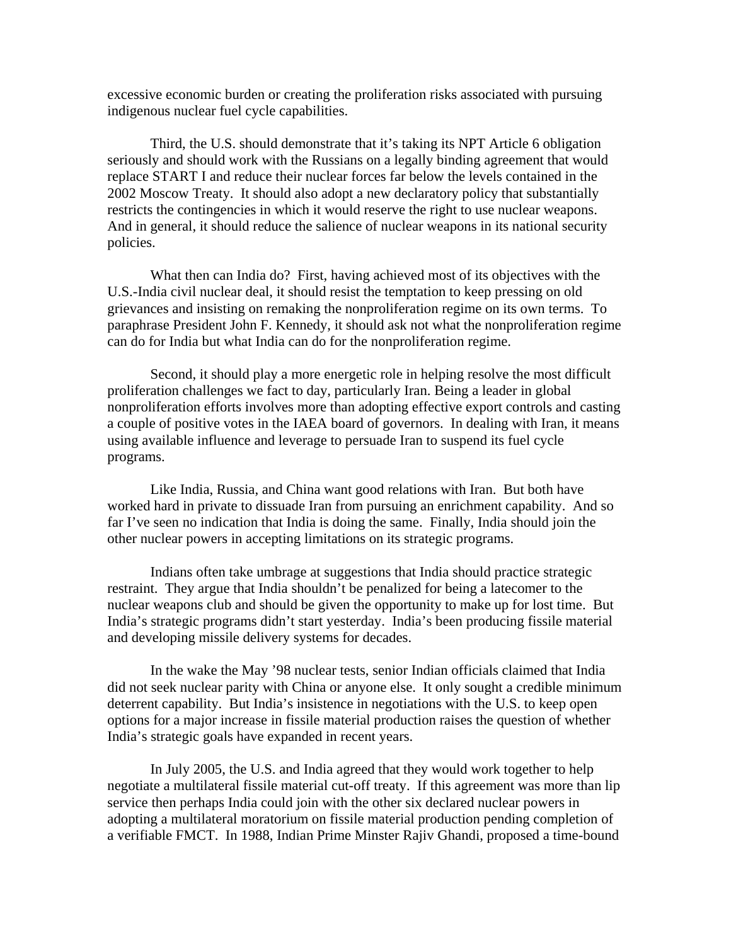excessive economic burden or creating the proliferation risks associated with pursuing indigenous nuclear fuel cycle capabilities.

Third, the U.S. should demonstrate that it's taking its NPT Article 6 obligation seriously and should work with the Russians on a legally binding agreement that would replace START I and reduce their nuclear forces far below the levels contained in the 2002 Moscow Treaty. It should also adopt a new declaratory policy that substantially restricts the contingencies in which it would reserve the right to use nuclear weapons. And in general, it should reduce the salience of nuclear weapons in its national security policies.

What then can India do? First, having achieved most of its objectives with the U.S.-India civil nuclear deal, it should resist the temptation to keep pressing on old grievances and insisting on remaking the nonproliferation regime on its own terms. To paraphrase President John F. Kennedy, it should ask not what the nonproliferation regime can do for India but what India can do for the nonproliferation regime.

Second, it should play a more energetic role in helping resolve the most difficult proliferation challenges we fact to day, particularly Iran. Being a leader in global nonproliferation efforts involves more than adopting effective export controls and casting a couple of positive votes in the IAEA board of governors. In dealing with Iran, it means using available influence and leverage to persuade Iran to suspend its fuel cycle programs.

Like India, Russia, and China want good relations with Iran. But both have worked hard in private to dissuade Iran from pursuing an enrichment capability. And so far I've seen no indication that India is doing the same. Finally, India should join the other nuclear powers in accepting limitations on its strategic programs.

Indians often take umbrage at suggestions that India should practice strategic restraint. They argue that India shouldn't be penalized for being a latecomer to the nuclear weapons club and should be given the opportunity to make up for lost time. But India's strategic programs didn't start yesterday. India's been producing fissile material and developing missile delivery systems for decades.

In the wake the May '98 nuclear tests, senior Indian officials claimed that India did not seek nuclear parity with China or anyone else. It only sought a credible minimum deterrent capability. But India's insistence in negotiations with the U.S. to keep open options for a major increase in fissile material production raises the question of whether India's strategic goals have expanded in recent years.

In July 2005, the U.S. and India agreed that they would work together to help negotiate a multilateral fissile material cut-off treaty. If this agreement was more than lip service then perhaps India could join with the other six declared nuclear powers in adopting a multilateral moratorium on fissile material production pending completion of a verifiable FMCT. In 1988, Indian Prime Minster Rajiv Ghandi, proposed a time-bound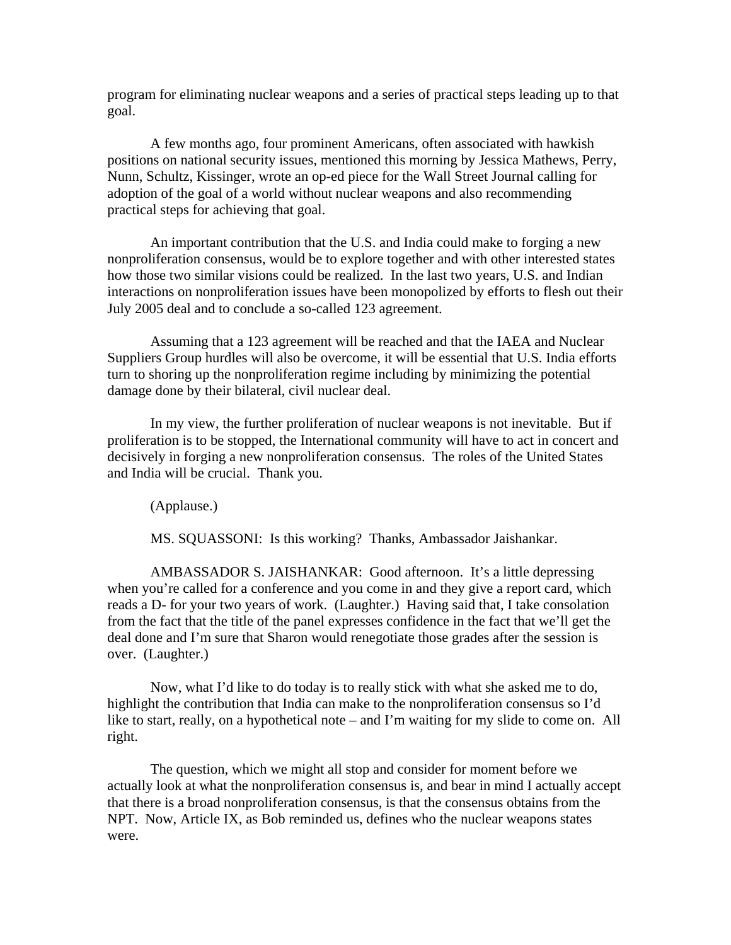program for eliminating nuclear weapons and a series of practical steps leading up to that goal.

A few months ago, four prominent Americans, often associated with hawkish positions on national security issues, mentioned this morning by Jessica Mathews, Perry, Nunn, Schultz, Kissinger, wrote an op-ed piece for the Wall Street Journal calling for adoption of the goal of a world without nuclear weapons and also recommending practical steps for achieving that goal.

An important contribution that the U.S. and India could make to forging a new nonproliferation consensus, would be to explore together and with other interested states how those two similar visions could be realized. In the last two years, U.S. and Indian interactions on nonproliferation issues have been monopolized by efforts to flesh out their July 2005 deal and to conclude a so-called 123 agreement.

Assuming that a 123 agreement will be reached and that the IAEA and Nuclear Suppliers Group hurdles will also be overcome, it will be essential that U.S. India efforts turn to shoring up the nonproliferation regime including by minimizing the potential damage done by their bilateral, civil nuclear deal.

In my view, the further proliferation of nuclear weapons is not inevitable. But if proliferation is to be stopped, the International community will have to act in concert and decisively in forging a new nonproliferation consensus. The roles of the United States and India will be crucial. Thank you.

(Applause.)

MS. SQUASSONI: Is this working? Thanks, Ambassador Jaishankar.

AMBASSADOR S. JAISHANKAR: Good afternoon. It's a little depressing when you're called for a conference and you come in and they give a report card, which reads a D- for your two years of work. (Laughter.) Having said that, I take consolation from the fact that the title of the panel expresses confidence in the fact that we'll get the deal done and I'm sure that Sharon would renegotiate those grades after the session is over. (Laughter.)

Now, what I'd like to do today is to really stick with what she asked me to do, highlight the contribution that India can make to the nonproliferation consensus so I'd like to start, really, on a hypothetical note – and I'm waiting for my slide to come on. All right.

The question, which we might all stop and consider for moment before we actually look at what the nonproliferation consensus is, and bear in mind I actually accept that there is a broad nonproliferation consensus, is that the consensus obtains from the NPT. Now, Article IX, as Bob reminded us, defines who the nuclear weapons states were.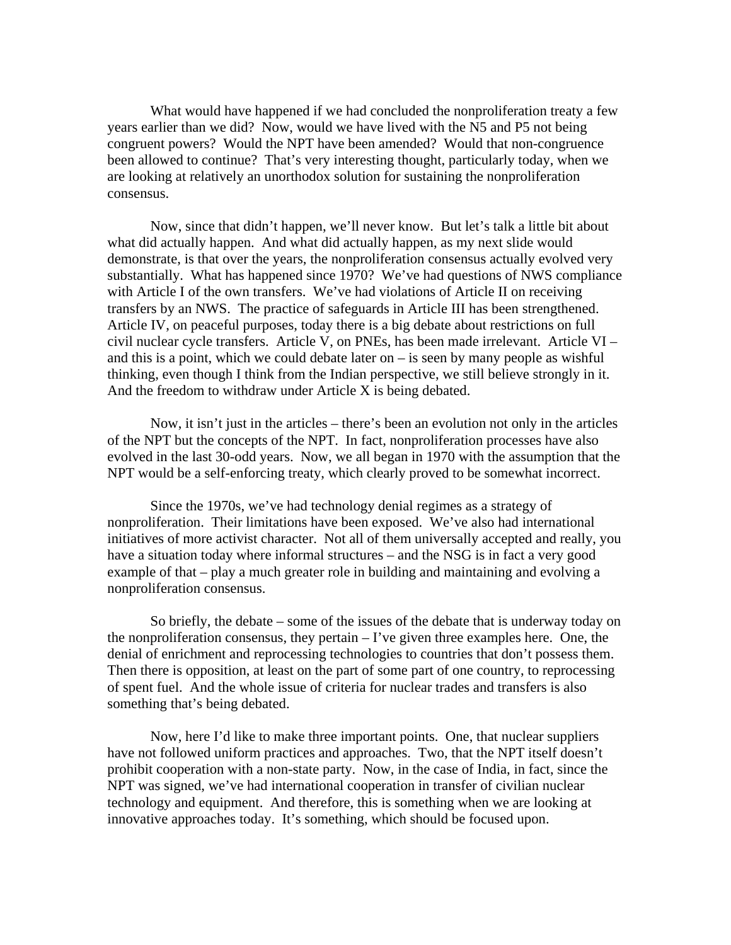What would have happened if we had concluded the nonproliferation treaty a few years earlier than we did? Now, would we have lived with the N5 and P5 not being congruent powers? Would the NPT have been amended? Would that non-congruence been allowed to continue? That's very interesting thought, particularly today, when we are looking at relatively an unorthodox solution for sustaining the nonproliferation consensus.

Now, since that didn't happen, we'll never know. But let's talk a little bit about what did actually happen. And what did actually happen, as my next slide would demonstrate, is that over the years, the nonproliferation consensus actually evolved very substantially. What has happened since 1970? We've had questions of NWS compliance with Article I of the own transfers. We've had violations of Article II on receiving transfers by an NWS. The practice of safeguards in Article III has been strengthened. Article IV, on peaceful purposes, today there is a big debate about restrictions on full civil nuclear cycle transfers. Article V, on PNEs, has been made irrelevant. Article VI – and this is a point, which we could debate later on – is seen by many people as wishful thinking, even though I think from the Indian perspective, we still believe strongly in it. And the freedom to withdraw under Article X is being debated.

Now, it isn't just in the articles – there's been an evolution not only in the articles of the NPT but the concepts of the NPT. In fact, nonproliferation processes have also evolved in the last 30-odd years. Now, we all began in 1970 with the assumption that the NPT would be a self-enforcing treaty, which clearly proved to be somewhat incorrect.

Since the 1970s, we've had technology denial regimes as a strategy of nonproliferation. Their limitations have been exposed. We've also had international initiatives of more activist character. Not all of them universally accepted and really, you have a situation today where informal structures – and the NSG is in fact a very good example of that – play a much greater role in building and maintaining and evolving a nonproliferation consensus.

So briefly, the debate – some of the issues of the debate that is underway today on the nonproliferation consensus, they pertain – I've given three examples here. One, the denial of enrichment and reprocessing technologies to countries that don't possess them. Then there is opposition, at least on the part of some part of one country, to reprocessing of spent fuel. And the whole issue of criteria for nuclear trades and transfers is also something that's being debated.

Now, here I'd like to make three important points. One, that nuclear suppliers have not followed uniform practices and approaches. Two, that the NPT itself doesn't prohibit cooperation with a non-state party. Now, in the case of India, in fact, since the NPT was signed, we've had international cooperation in transfer of civilian nuclear technology and equipment. And therefore, this is something when we are looking at innovative approaches today. It's something, which should be focused upon.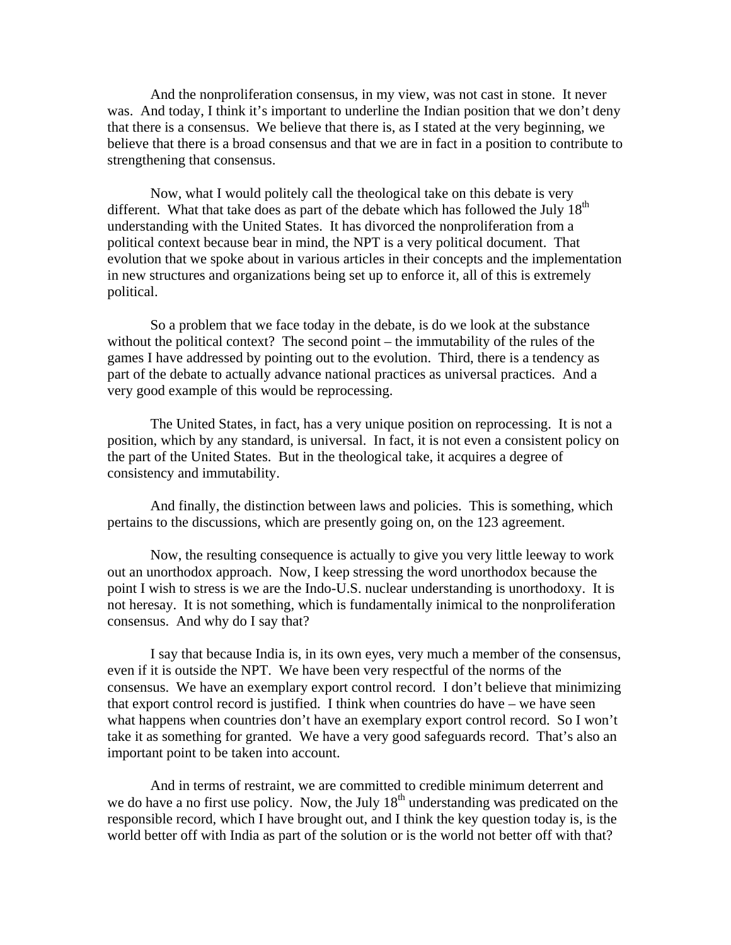And the nonproliferation consensus, in my view, was not cast in stone. It never was. And today, I think it's important to underline the Indian position that we don't deny that there is a consensus. We believe that there is, as I stated at the very beginning, we believe that there is a broad consensus and that we are in fact in a position to contribute to strengthening that consensus.

Now, what I would politely call the theological take on this debate is very different. What that take does as part of the debate which has followed the July  $18<sup>th</sup>$ understanding with the United States. It has divorced the nonproliferation from a political context because bear in mind, the NPT is a very political document. That evolution that we spoke about in various articles in their concepts and the implementation in new structures and organizations being set up to enforce it, all of this is extremely political.

So a problem that we face today in the debate, is do we look at the substance without the political context? The second point – the immutability of the rules of the games I have addressed by pointing out to the evolution. Third, there is a tendency as part of the debate to actually advance national practices as universal practices. And a very good example of this would be reprocessing.

The United States, in fact, has a very unique position on reprocessing. It is not a position, which by any standard, is universal. In fact, it is not even a consistent policy on the part of the United States. But in the theological take, it acquires a degree of consistency and immutability.

And finally, the distinction between laws and policies. This is something, which pertains to the discussions, which are presently going on, on the 123 agreement.

Now, the resulting consequence is actually to give you very little leeway to work out an unorthodox approach. Now, I keep stressing the word unorthodox because the point I wish to stress is we are the Indo-U.S. nuclear understanding is unorthodoxy. It is not heresay. It is not something, which is fundamentally inimical to the nonproliferation consensus. And why do I say that?

I say that because India is, in its own eyes, very much a member of the consensus, even if it is outside the NPT. We have been very respectful of the norms of the consensus. We have an exemplary export control record. I don't believe that minimizing that export control record is justified. I think when countries do have – we have seen what happens when countries don't have an exemplary export control record. So I won't take it as something for granted. We have a very good safeguards record. That's also an important point to be taken into account.

And in terms of restraint, we are committed to credible minimum deterrent and we do have a no first use policy. Now, the July  $18<sup>th</sup>$  understanding was predicated on the responsible record, which I have brought out, and I think the key question today is, is the world better off with India as part of the solution or is the world not better off with that?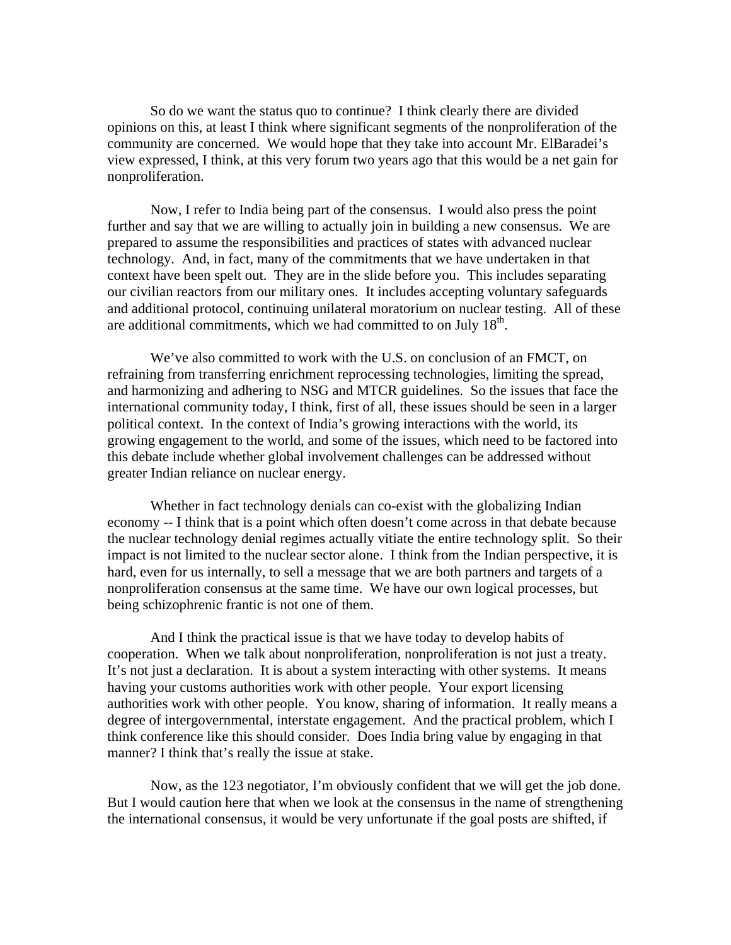So do we want the status quo to continue? I think clearly there are divided opinions on this, at least I think where significant segments of the nonproliferation of the community are concerned. We would hope that they take into account Mr. ElBaradei's view expressed, I think, at this very forum two years ago that this would be a net gain for nonproliferation.

Now, I refer to India being part of the consensus. I would also press the point further and say that we are willing to actually join in building a new consensus. We are prepared to assume the responsibilities and practices of states with advanced nuclear technology. And, in fact, many of the commitments that we have undertaken in that context have been spelt out. They are in the slide before you. This includes separating our civilian reactors from our military ones. It includes accepting voluntary safeguards and additional protocol, continuing unilateral moratorium on nuclear testing. All of these are additional commitments, which we had committed to on July  $18<sup>th</sup>$ .

We've also committed to work with the U.S. on conclusion of an FMCT, on refraining from transferring enrichment reprocessing technologies, limiting the spread, and harmonizing and adhering to NSG and MTCR guidelines. So the issues that face the international community today, I think, first of all, these issues should be seen in a larger political context. In the context of India's growing interactions with the world, its growing engagement to the world, and some of the issues, which need to be factored into this debate include whether global involvement challenges can be addressed without greater Indian reliance on nuclear energy.

Whether in fact technology denials can co-exist with the globalizing Indian economy -- I think that is a point which often doesn't come across in that debate because the nuclear technology denial regimes actually vitiate the entire technology split. So their impact is not limited to the nuclear sector alone. I think from the Indian perspective, it is hard, even for us internally, to sell a message that we are both partners and targets of a nonproliferation consensus at the same time. We have our own logical processes, but being schizophrenic frantic is not one of them.

And I think the practical issue is that we have today to develop habits of cooperation. When we talk about nonproliferation, nonproliferation is not just a treaty. It's not just a declaration. It is about a system interacting with other systems. It means having your customs authorities work with other people. Your export licensing authorities work with other people. You know, sharing of information. It really means a degree of intergovernmental, interstate engagement. And the practical problem, which I think conference like this should consider. Does India bring value by engaging in that manner? I think that's really the issue at stake.

Now, as the 123 negotiator, I'm obviously confident that we will get the job done. But I would caution here that when we look at the consensus in the name of strengthening the international consensus, it would be very unfortunate if the goal posts are shifted, if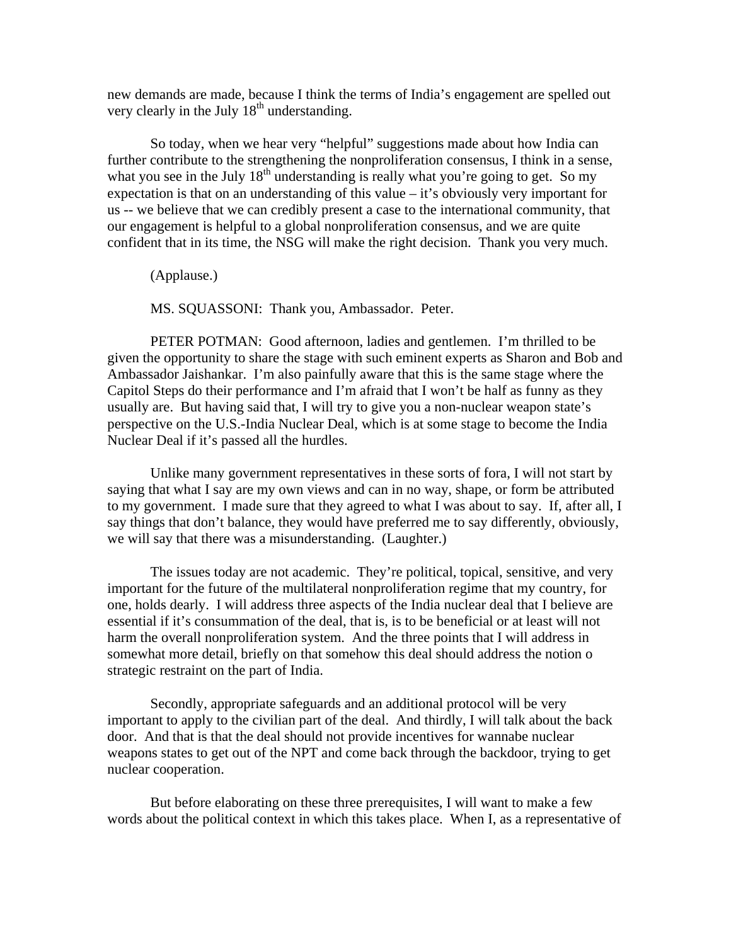new demands are made, because I think the terms of India's engagement are spelled out very clearly in the July  $18<sup>th</sup>$  understanding.

So today, when we hear very "helpful" suggestions made about how India can further contribute to the strengthening the nonproliferation consensus, I think in a sense, what you see in the July  $18<sup>th</sup>$  understanding is really what you're going to get. So my expectation is that on an understanding of this value – it's obviously very important for us -- we believe that we can credibly present a case to the international community, that our engagement is helpful to a global nonproliferation consensus, and we are quite confident that in its time, the NSG will make the right decision. Thank you very much.

(Applause.)

MS. SQUASSONI: Thank you, Ambassador. Peter.

PETER POTMAN: Good afternoon, ladies and gentlemen. I'm thrilled to be given the opportunity to share the stage with such eminent experts as Sharon and Bob and Ambassador Jaishankar. I'm also painfully aware that this is the same stage where the Capitol Steps do their performance and I'm afraid that I won't be half as funny as they usually are. But having said that, I will try to give you a non-nuclear weapon state's perspective on the U.S.-India Nuclear Deal, which is at some stage to become the India Nuclear Deal if it's passed all the hurdles.

Unlike many government representatives in these sorts of fora, I will not start by saying that what I say are my own views and can in no way, shape, or form be attributed to my government. I made sure that they agreed to what I was about to say. If, after all, I say things that don't balance, they would have preferred me to say differently, obviously, we will say that there was a misunderstanding. (Laughter.)

The issues today are not academic. They're political, topical, sensitive, and very important for the future of the multilateral nonproliferation regime that my country, for one, holds dearly. I will address three aspects of the India nuclear deal that I believe are essential if it's consummation of the deal, that is, is to be beneficial or at least will not harm the overall nonproliferation system. And the three points that I will address in somewhat more detail, briefly on that somehow this deal should address the notion o strategic restraint on the part of India.

Secondly, appropriate safeguards and an additional protocol will be very important to apply to the civilian part of the deal. And thirdly, I will talk about the back door. And that is that the deal should not provide incentives for wannabe nuclear weapons states to get out of the NPT and come back through the backdoor, trying to get nuclear cooperation.

But before elaborating on these three prerequisites, I will want to make a few words about the political context in which this takes place. When I, as a representative of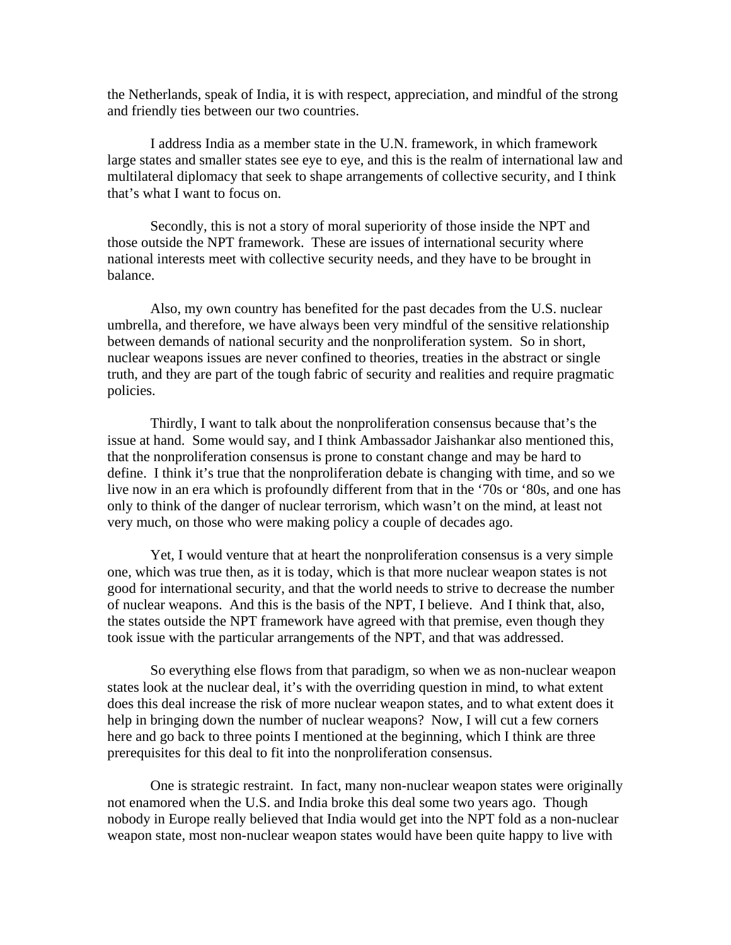the Netherlands, speak of India, it is with respect, appreciation, and mindful of the strong and friendly ties between our two countries.

I address India as a member state in the U.N. framework, in which framework large states and smaller states see eye to eye, and this is the realm of international law and multilateral diplomacy that seek to shape arrangements of collective security, and I think that's what I want to focus on.

Secondly, this is not a story of moral superiority of those inside the NPT and those outside the NPT framework. These are issues of international security where national interests meet with collective security needs, and they have to be brought in balance.

Also, my own country has benefited for the past decades from the U.S. nuclear umbrella, and therefore, we have always been very mindful of the sensitive relationship between demands of national security and the nonproliferation system. So in short, nuclear weapons issues are never confined to theories, treaties in the abstract or single truth, and they are part of the tough fabric of security and realities and require pragmatic policies.

Thirdly, I want to talk about the nonproliferation consensus because that's the issue at hand. Some would say, and I think Ambassador Jaishankar also mentioned this, that the nonproliferation consensus is prone to constant change and may be hard to define. I think it's true that the nonproliferation debate is changing with time, and so we live now in an era which is profoundly different from that in the '70s or '80s, and one has only to think of the danger of nuclear terrorism, which wasn't on the mind, at least not very much, on those who were making policy a couple of decades ago.

Yet, I would venture that at heart the nonproliferation consensus is a very simple one, which was true then, as it is today, which is that more nuclear weapon states is not good for international security, and that the world needs to strive to decrease the number of nuclear weapons. And this is the basis of the NPT, I believe. And I think that, also, the states outside the NPT framework have agreed with that premise, even though they took issue with the particular arrangements of the NPT, and that was addressed.

So everything else flows from that paradigm, so when we as non-nuclear weapon states look at the nuclear deal, it's with the overriding question in mind, to what extent does this deal increase the risk of more nuclear weapon states, and to what extent does it help in bringing down the number of nuclear weapons? Now, I will cut a few corners here and go back to three points I mentioned at the beginning, which I think are three prerequisites for this deal to fit into the nonproliferation consensus.

One is strategic restraint. In fact, many non-nuclear weapon states were originally not enamored when the U.S. and India broke this deal some two years ago. Though nobody in Europe really believed that India would get into the NPT fold as a non-nuclear weapon state, most non-nuclear weapon states would have been quite happy to live with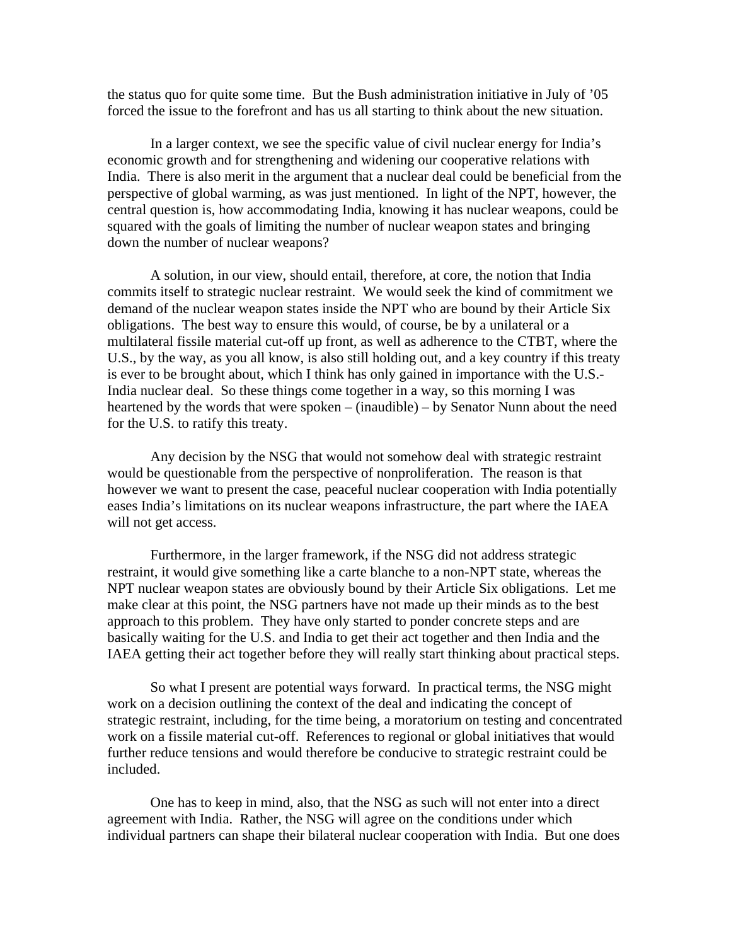the status quo for quite some time. But the Bush administration initiative in July of '05 forced the issue to the forefront and has us all starting to think about the new situation.

In a larger context, we see the specific value of civil nuclear energy for India's economic growth and for strengthening and widening our cooperative relations with India. There is also merit in the argument that a nuclear deal could be beneficial from the perspective of global warming, as was just mentioned. In light of the NPT, however, the central question is, how accommodating India, knowing it has nuclear weapons, could be squared with the goals of limiting the number of nuclear weapon states and bringing down the number of nuclear weapons?

A solution, in our view, should entail, therefore, at core, the notion that India commits itself to strategic nuclear restraint. We would seek the kind of commitment we demand of the nuclear weapon states inside the NPT who are bound by their Article Six obligations. The best way to ensure this would, of course, be by a unilateral or a multilateral fissile material cut-off up front, as well as adherence to the CTBT, where the U.S., by the way, as you all know, is also still holding out, and a key country if this treaty is ever to be brought about, which I think has only gained in importance with the U.S.- India nuclear deal. So these things come together in a way, so this morning I was heartened by the words that were spoken – (inaudible) – by Senator Nunn about the need for the U.S. to ratify this treaty.

Any decision by the NSG that would not somehow deal with strategic restraint would be questionable from the perspective of nonproliferation. The reason is that however we want to present the case, peaceful nuclear cooperation with India potentially eases India's limitations on its nuclear weapons infrastructure, the part where the IAEA will not get access.

Furthermore, in the larger framework, if the NSG did not address strategic restraint, it would give something like a carte blanche to a non-NPT state, whereas the NPT nuclear weapon states are obviously bound by their Article Six obligations. Let me make clear at this point, the NSG partners have not made up their minds as to the best approach to this problem. They have only started to ponder concrete steps and are basically waiting for the U.S. and India to get their act together and then India and the IAEA getting their act together before they will really start thinking about practical steps.

So what I present are potential ways forward. In practical terms, the NSG might work on a decision outlining the context of the deal and indicating the concept of strategic restraint, including, for the time being, a moratorium on testing and concentrated work on a fissile material cut-off. References to regional or global initiatives that would further reduce tensions and would therefore be conducive to strategic restraint could be included.

One has to keep in mind, also, that the NSG as such will not enter into a direct agreement with India. Rather, the NSG will agree on the conditions under which individual partners can shape their bilateral nuclear cooperation with India. But one does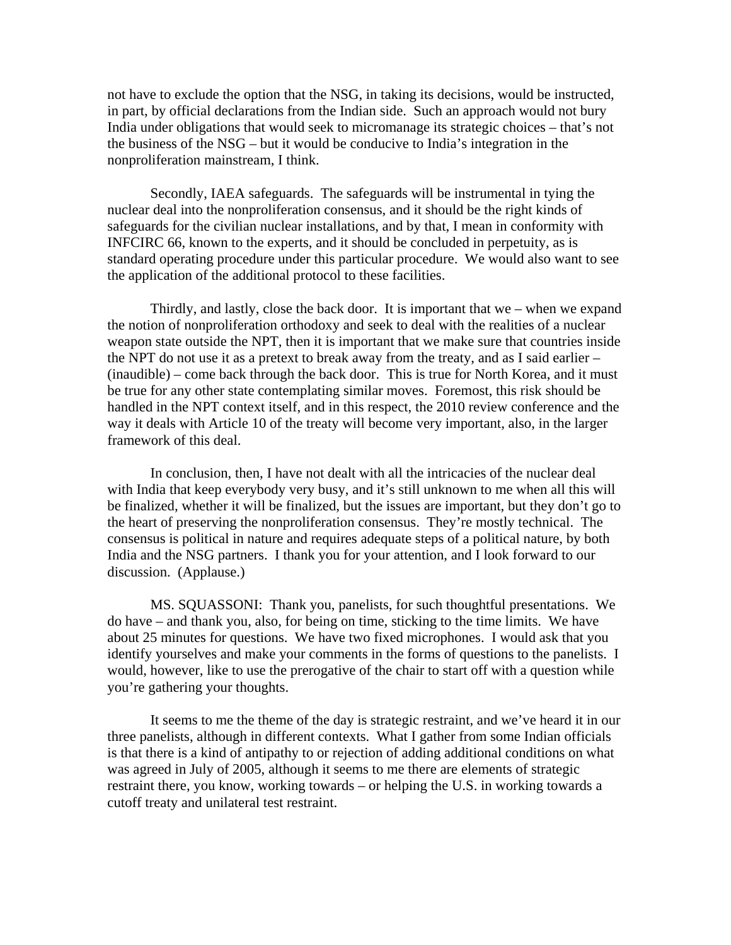not have to exclude the option that the NSG, in taking its decisions, would be instructed, in part, by official declarations from the Indian side. Such an approach would not bury India under obligations that would seek to micromanage its strategic choices – that's not the business of the NSG – but it would be conducive to India's integration in the nonproliferation mainstream, I think.

Secondly, IAEA safeguards. The safeguards will be instrumental in tying the nuclear deal into the nonproliferation consensus, and it should be the right kinds of safeguards for the civilian nuclear installations, and by that, I mean in conformity with INFCIRC 66, known to the experts, and it should be concluded in perpetuity, as is standard operating procedure under this particular procedure. We would also want to see the application of the additional protocol to these facilities.

Thirdly, and lastly, close the back door. It is important that we – when we expand the notion of nonproliferation orthodoxy and seek to deal with the realities of a nuclear weapon state outside the NPT, then it is important that we make sure that countries inside the NPT do not use it as a pretext to break away from the treaty, and as I said earlier – (inaudible) – come back through the back door. This is true for North Korea, and it must be true for any other state contemplating similar moves. Foremost, this risk should be handled in the NPT context itself, and in this respect, the 2010 review conference and the way it deals with Article 10 of the treaty will become very important, also, in the larger framework of this deal.

In conclusion, then, I have not dealt with all the intricacies of the nuclear deal with India that keep everybody very busy, and it's still unknown to me when all this will be finalized, whether it will be finalized, but the issues are important, but they don't go to the heart of preserving the nonproliferation consensus. They're mostly technical. The consensus is political in nature and requires adequate steps of a political nature, by both India and the NSG partners. I thank you for your attention, and I look forward to our discussion. (Applause.)

MS. SQUASSONI: Thank you, panelists, for such thoughtful presentations. We do have – and thank you, also, for being on time, sticking to the time limits. We have about 25 minutes for questions. We have two fixed microphones. I would ask that you identify yourselves and make your comments in the forms of questions to the panelists. I would, however, like to use the prerogative of the chair to start off with a question while you're gathering your thoughts.

It seems to me the theme of the day is strategic restraint, and we've heard it in our three panelists, although in different contexts. What I gather from some Indian officials is that there is a kind of antipathy to or rejection of adding additional conditions on what was agreed in July of 2005, although it seems to me there are elements of strategic restraint there, you know, working towards – or helping the U.S. in working towards a cutoff treaty and unilateral test restraint.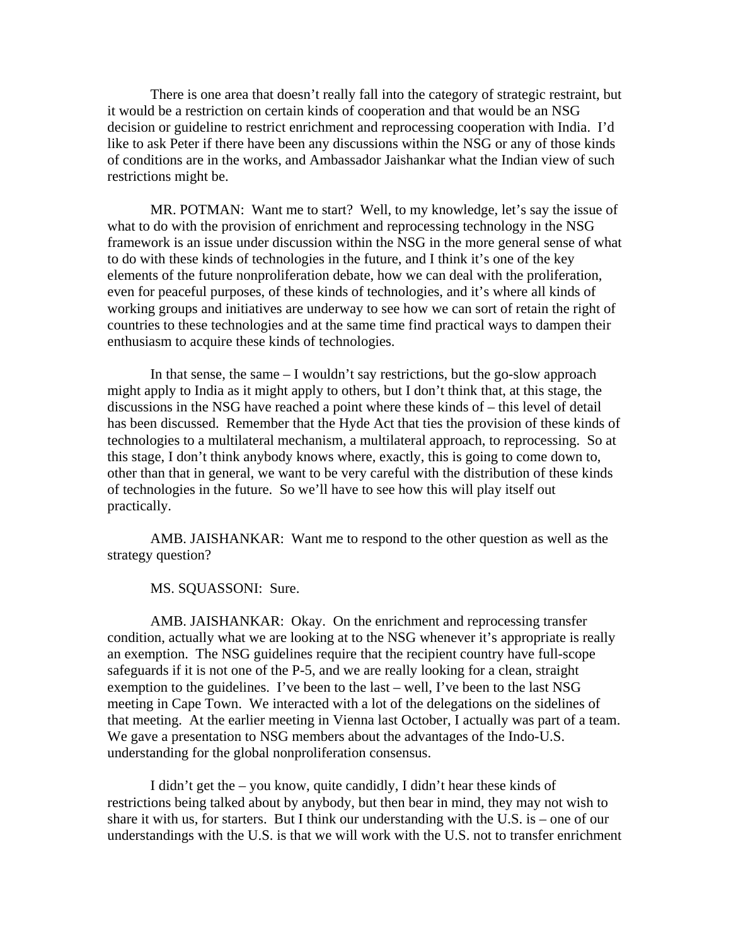There is one area that doesn't really fall into the category of strategic restraint, but it would be a restriction on certain kinds of cooperation and that would be an NSG decision or guideline to restrict enrichment and reprocessing cooperation with India. I'd like to ask Peter if there have been any discussions within the NSG or any of those kinds of conditions are in the works, and Ambassador Jaishankar what the Indian view of such restrictions might be.

MR. POTMAN: Want me to start? Well, to my knowledge, let's say the issue of what to do with the provision of enrichment and reprocessing technology in the NSG framework is an issue under discussion within the NSG in the more general sense of what to do with these kinds of technologies in the future, and I think it's one of the key elements of the future nonproliferation debate, how we can deal with the proliferation, even for peaceful purposes, of these kinds of technologies, and it's where all kinds of working groups and initiatives are underway to see how we can sort of retain the right of countries to these technologies and at the same time find practical ways to dampen their enthusiasm to acquire these kinds of technologies.

In that sense, the same – I wouldn't say restrictions, but the go-slow approach might apply to India as it might apply to others, but I don't think that, at this stage, the discussions in the NSG have reached a point where these kinds of – this level of detail has been discussed. Remember that the Hyde Act that ties the provision of these kinds of technologies to a multilateral mechanism, a multilateral approach, to reprocessing. So at this stage, I don't think anybody knows where, exactly, this is going to come down to, other than that in general, we want to be very careful with the distribution of these kinds of technologies in the future. So we'll have to see how this will play itself out practically.

AMB. JAISHANKAR: Want me to respond to the other question as well as the strategy question?

MS. SQUASSONI: Sure.

AMB. JAISHANKAR: Okay. On the enrichment and reprocessing transfer condition, actually what we are looking at to the NSG whenever it's appropriate is really an exemption. The NSG guidelines require that the recipient country have full-scope safeguards if it is not one of the P-5, and we are really looking for a clean, straight exemption to the guidelines. I've been to the last – well, I've been to the last NSG meeting in Cape Town. We interacted with a lot of the delegations on the sidelines of that meeting. At the earlier meeting in Vienna last October, I actually was part of a team. We gave a presentation to NSG members about the advantages of the Indo-U.S. understanding for the global nonproliferation consensus.

I didn't get the – you know, quite candidly, I didn't hear these kinds of restrictions being talked about by anybody, but then bear in mind, they may not wish to share it with us, for starters. But I think our understanding with the U.S. is – one of our understandings with the U.S. is that we will work with the U.S. not to transfer enrichment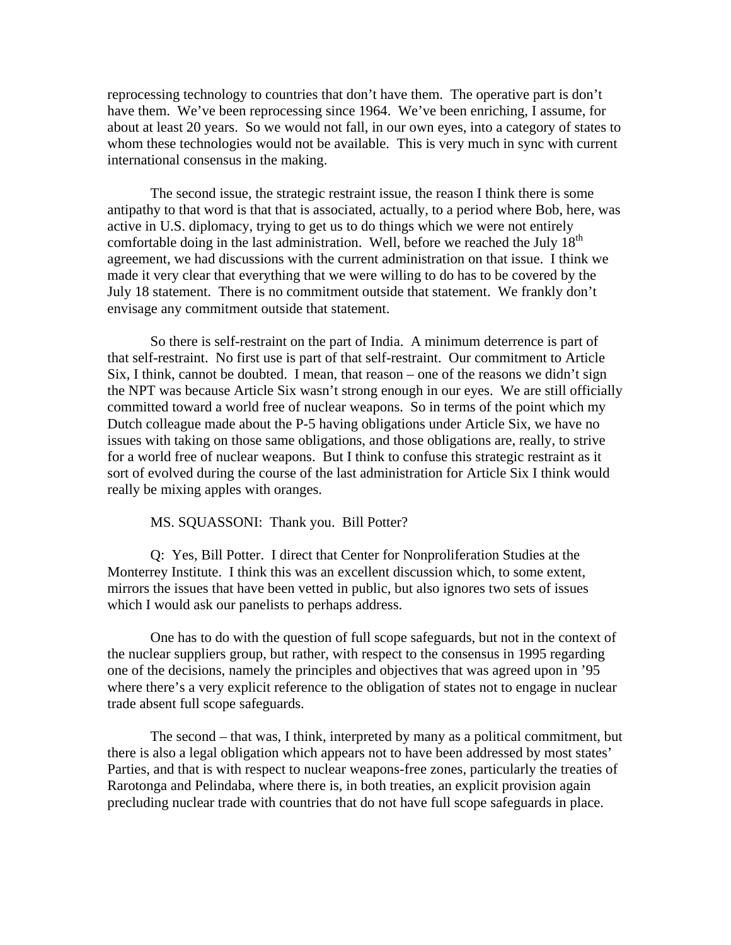reprocessing technology to countries that don't have them. The operative part is don't have them. We've been reprocessing since 1964. We've been enriching, I assume, for about at least 20 years. So we would not fall, in our own eyes, into a category of states to whom these technologies would not be available. This is very much in sync with current international consensus in the making.

The second issue, the strategic restraint issue, the reason I think there is some antipathy to that word is that that is associated, actually, to a period where Bob, here, was active in U.S. diplomacy, trying to get us to do things which we were not entirely comfortable doing in the last administration. Well, before we reached the July  $18<sup>th</sup>$ agreement, we had discussions with the current administration on that issue. I think we made it very clear that everything that we were willing to do has to be covered by the July 18 statement. There is no commitment outside that statement. We frankly don't envisage any commitment outside that statement.

So there is self-restraint on the part of India. A minimum deterrence is part of that self-restraint. No first use is part of that self-restraint. Our commitment to Article Six, I think, cannot be doubted. I mean, that reason – one of the reasons we didn't sign the NPT was because Article Six wasn't strong enough in our eyes. We are still officially committed toward a world free of nuclear weapons. So in terms of the point which my Dutch colleague made about the P-5 having obligations under Article Six, we have no issues with taking on those same obligations, and those obligations are, really, to strive for a world free of nuclear weapons. But I think to confuse this strategic restraint as it sort of evolved during the course of the last administration for Article Six I think would really be mixing apples with oranges.

MS. SQUASSONI: Thank you. Bill Potter?

Q: Yes, Bill Potter. I direct that Center for Nonproliferation Studies at the Monterrey Institute. I think this was an excellent discussion which, to some extent, mirrors the issues that have been vetted in public, but also ignores two sets of issues which I would ask our panelists to perhaps address.

One has to do with the question of full scope safeguards, but not in the context of the nuclear suppliers group, but rather, with respect to the consensus in 1995 regarding one of the decisions, namely the principles and objectives that was agreed upon in '95 where there's a very explicit reference to the obligation of states not to engage in nuclear trade absent full scope safeguards.

The second – that was, I think, interpreted by many as a political commitment, but there is also a legal obligation which appears not to have been addressed by most states' Parties, and that is with respect to nuclear weapons-free zones, particularly the treaties of Rarotonga and Pelindaba, where there is, in both treaties, an explicit provision again precluding nuclear trade with countries that do not have full scope safeguards in place.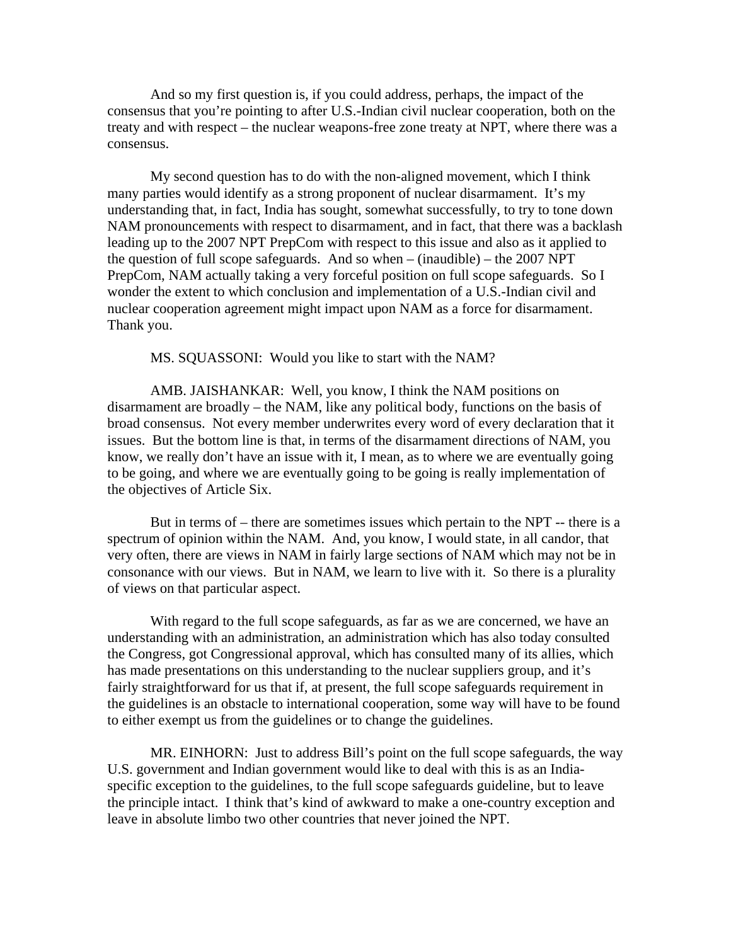And so my first question is, if you could address, perhaps, the impact of the consensus that you're pointing to after U.S.-Indian civil nuclear cooperation, both on the treaty and with respect – the nuclear weapons-free zone treaty at NPT, where there was a consensus.

My second question has to do with the non-aligned movement, which I think many parties would identify as a strong proponent of nuclear disarmament. It's my understanding that, in fact, India has sought, somewhat successfully, to try to tone down NAM pronouncements with respect to disarmament, and in fact, that there was a backlash leading up to the 2007 NPT PrepCom with respect to this issue and also as it applied to the question of full scope safeguards. And so when  $-$  (inaudible)  $-$  the 2007 NPT PrepCom, NAM actually taking a very forceful position on full scope safeguards. So I wonder the extent to which conclusion and implementation of a U.S.-Indian civil and nuclear cooperation agreement might impact upon NAM as a force for disarmament. Thank you.

MS. SQUASSONI: Would you like to start with the NAM?

AMB. JAISHANKAR: Well, you know, I think the NAM positions on disarmament are broadly – the NAM, like any political body, functions on the basis of broad consensus. Not every member underwrites every word of every declaration that it issues. But the bottom line is that, in terms of the disarmament directions of NAM, you know, we really don't have an issue with it, I mean, as to where we are eventually going to be going, and where we are eventually going to be going is really implementation of the objectives of Article Six.

But in terms of – there are sometimes issues which pertain to the NPT -- there is a spectrum of opinion within the NAM. And, you know, I would state, in all candor, that very often, there are views in NAM in fairly large sections of NAM which may not be in consonance with our views. But in NAM, we learn to live with it. So there is a plurality of views on that particular aspect.

With regard to the full scope safeguards, as far as we are concerned, we have an understanding with an administration, an administration which has also today consulted the Congress, got Congressional approval, which has consulted many of its allies, which has made presentations on this understanding to the nuclear suppliers group, and it's fairly straightforward for us that if, at present, the full scope safeguards requirement in the guidelines is an obstacle to international cooperation, some way will have to be found to either exempt us from the guidelines or to change the guidelines.

MR. EINHORN: Just to address Bill's point on the full scope safeguards, the way U.S. government and Indian government would like to deal with this is as an Indiaspecific exception to the guidelines, to the full scope safeguards guideline, but to leave the principle intact. I think that's kind of awkward to make a one-country exception and leave in absolute limbo two other countries that never joined the NPT.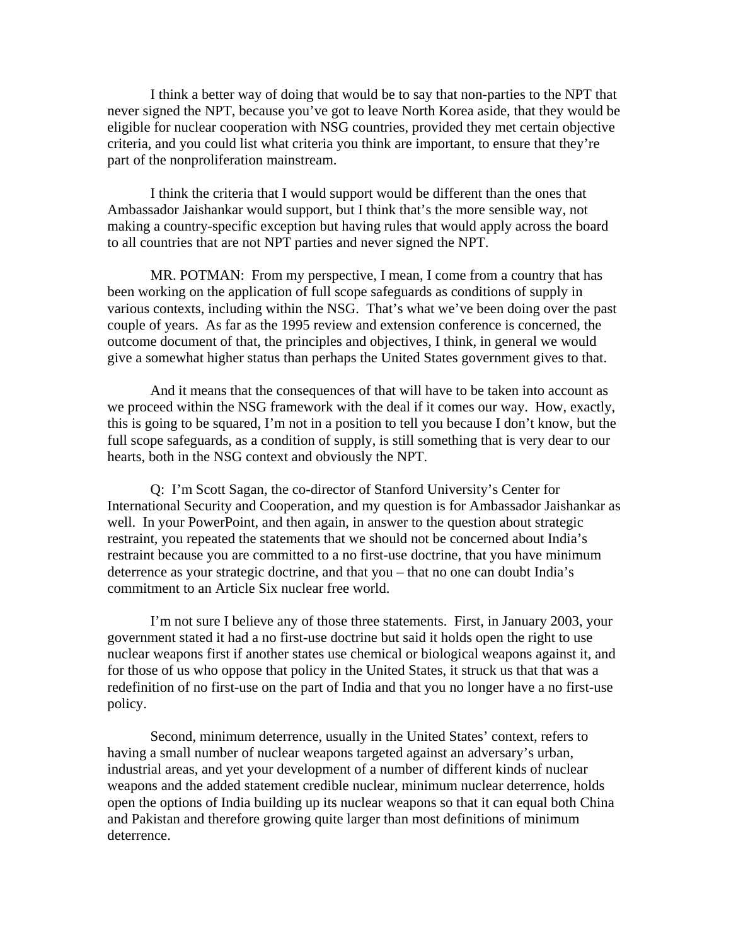I think a better way of doing that would be to say that non-parties to the NPT that never signed the NPT, because you've got to leave North Korea aside, that they would be eligible for nuclear cooperation with NSG countries, provided they met certain objective criteria, and you could list what criteria you think are important, to ensure that they're part of the nonproliferation mainstream.

I think the criteria that I would support would be different than the ones that Ambassador Jaishankar would support, but I think that's the more sensible way, not making a country-specific exception but having rules that would apply across the board to all countries that are not NPT parties and never signed the NPT.

MR. POTMAN: From my perspective, I mean, I come from a country that has been working on the application of full scope safeguards as conditions of supply in various contexts, including within the NSG. That's what we've been doing over the past couple of years. As far as the 1995 review and extension conference is concerned, the outcome document of that, the principles and objectives, I think, in general we would give a somewhat higher status than perhaps the United States government gives to that.

And it means that the consequences of that will have to be taken into account as we proceed within the NSG framework with the deal if it comes our way. How, exactly, this is going to be squared, I'm not in a position to tell you because I don't know, but the full scope safeguards, as a condition of supply, is still something that is very dear to our hearts, both in the NSG context and obviously the NPT.

Q: I'm Scott Sagan, the co-director of Stanford University's Center for International Security and Cooperation, and my question is for Ambassador Jaishankar as well. In your PowerPoint, and then again, in answer to the question about strategic restraint, you repeated the statements that we should not be concerned about India's restraint because you are committed to a no first-use doctrine, that you have minimum deterrence as your strategic doctrine, and that you – that no one can doubt India's commitment to an Article Six nuclear free world.

I'm not sure I believe any of those three statements. First, in January 2003, your government stated it had a no first-use doctrine but said it holds open the right to use nuclear weapons first if another states use chemical or biological weapons against it, and for those of us who oppose that policy in the United States, it struck us that that was a redefinition of no first-use on the part of India and that you no longer have a no first-use policy.

Second, minimum deterrence, usually in the United States' context, refers to having a small number of nuclear weapons targeted against an adversary's urban, industrial areas, and yet your development of a number of different kinds of nuclear weapons and the added statement credible nuclear, minimum nuclear deterrence, holds open the options of India building up its nuclear weapons so that it can equal both China and Pakistan and therefore growing quite larger than most definitions of minimum deterrence.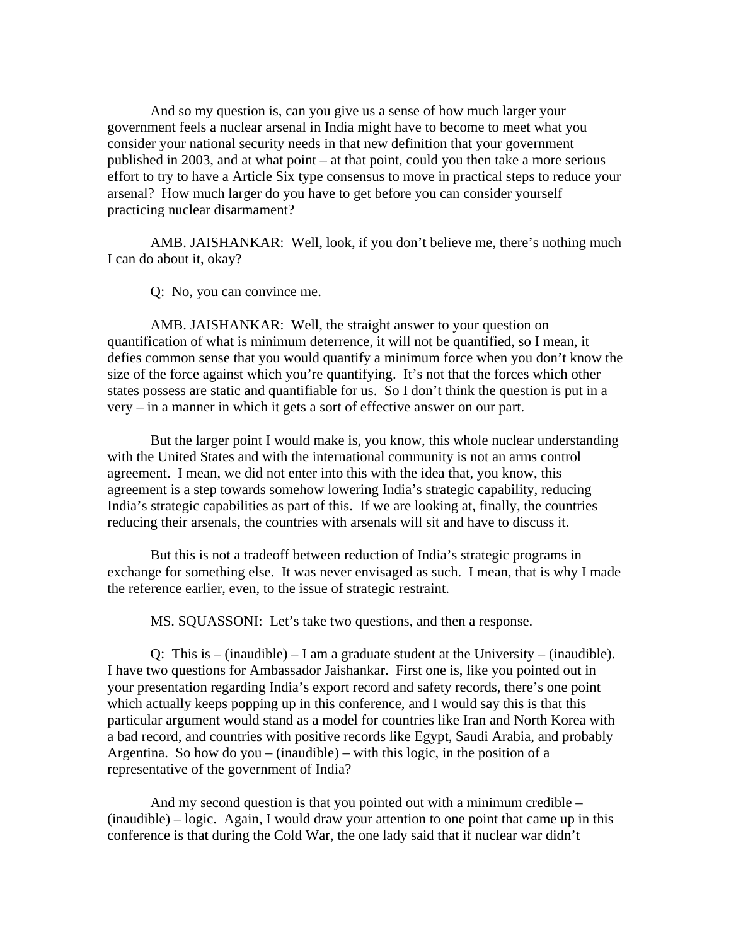And so my question is, can you give us a sense of how much larger your government feels a nuclear arsenal in India might have to become to meet what you consider your national security needs in that new definition that your government published in 2003, and at what point – at that point, could you then take a more serious effort to try to have a Article Six type consensus to move in practical steps to reduce your arsenal? How much larger do you have to get before you can consider yourself practicing nuclear disarmament?

AMB. JAISHANKAR: Well, look, if you don't believe me, there's nothing much I can do about it, okay?

Q: No, you can convince me.

AMB. JAISHANKAR: Well, the straight answer to your question on quantification of what is minimum deterrence, it will not be quantified, so I mean, it defies common sense that you would quantify a minimum force when you don't know the size of the force against which you're quantifying. It's not that the forces which other states possess are static and quantifiable for us. So I don't think the question is put in a very – in a manner in which it gets a sort of effective answer on our part.

But the larger point I would make is, you know, this whole nuclear understanding with the United States and with the international community is not an arms control agreement. I mean, we did not enter into this with the idea that, you know, this agreement is a step towards somehow lowering India's strategic capability, reducing India's strategic capabilities as part of this. If we are looking at, finally, the countries reducing their arsenals, the countries with arsenals will sit and have to discuss it.

But this is not a tradeoff between reduction of India's strategic programs in exchange for something else. It was never envisaged as such. I mean, that is why I made the reference earlier, even, to the issue of strategic restraint.

MS. SQUASSONI: Let's take two questions, and then a response.

Q: This is – (inaudible) – I am a graduate student at the University – (inaudible). I have two questions for Ambassador Jaishankar. First one is, like you pointed out in your presentation regarding India's export record and safety records, there's one point which actually keeps popping up in this conference, and I would say this is that this particular argument would stand as a model for countries like Iran and North Korea with a bad record, and countries with positive records like Egypt, Saudi Arabia, and probably Argentina. So how do you – (inaudible) – with this logic, in the position of a representative of the government of India?

And my second question is that you pointed out with a minimum credible – (inaudible) – logic. Again, I would draw your attention to one point that came up in this conference is that during the Cold War, the one lady said that if nuclear war didn't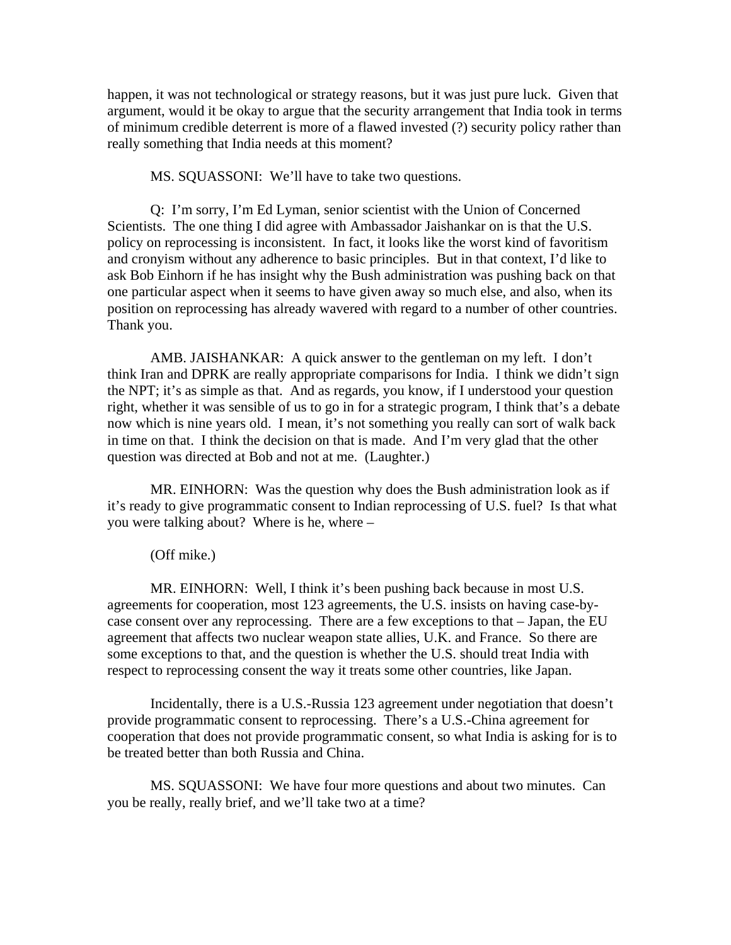happen, it was not technological or strategy reasons, but it was just pure luck. Given that argument, would it be okay to argue that the security arrangement that India took in terms of minimum credible deterrent is more of a flawed invested (?) security policy rather than really something that India needs at this moment?

MS. SQUASSONI: We'll have to take two questions.

Q: I'm sorry, I'm Ed Lyman, senior scientist with the Union of Concerned Scientists. The one thing I did agree with Ambassador Jaishankar on is that the U.S. policy on reprocessing is inconsistent. In fact, it looks like the worst kind of favoritism and cronyism without any adherence to basic principles. But in that context, I'd like to ask Bob Einhorn if he has insight why the Bush administration was pushing back on that one particular aspect when it seems to have given away so much else, and also, when its position on reprocessing has already wavered with regard to a number of other countries. Thank you.

AMB. JAISHANKAR: A quick answer to the gentleman on my left. I don't think Iran and DPRK are really appropriate comparisons for India. I think we didn't sign the NPT; it's as simple as that. And as regards, you know, if I understood your question right, whether it was sensible of us to go in for a strategic program, I think that's a debate now which is nine years old. I mean, it's not something you really can sort of walk back in time on that. I think the decision on that is made. And I'm very glad that the other question was directed at Bob and not at me. (Laughter.)

MR. EINHORN: Was the question why does the Bush administration look as if it's ready to give programmatic consent to Indian reprocessing of U.S. fuel? Is that what you were talking about? Where is he, where –

(Off mike.)

MR. EINHORN: Well, I think it's been pushing back because in most U.S. agreements for cooperation, most 123 agreements, the U.S. insists on having case-bycase consent over any reprocessing. There are a few exceptions to that – Japan, the EU agreement that affects two nuclear weapon state allies, U.K. and France. So there are some exceptions to that, and the question is whether the U.S. should treat India with respect to reprocessing consent the way it treats some other countries, like Japan.

Incidentally, there is a U.S.-Russia 123 agreement under negotiation that doesn't provide programmatic consent to reprocessing. There's a U.S.-China agreement for cooperation that does not provide programmatic consent, so what India is asking for is to be treated better than both Russia and China.

MS. SQUASSONI: We have four more questions and about two minutes. Can you be really, really brief, and we'll take two at a time?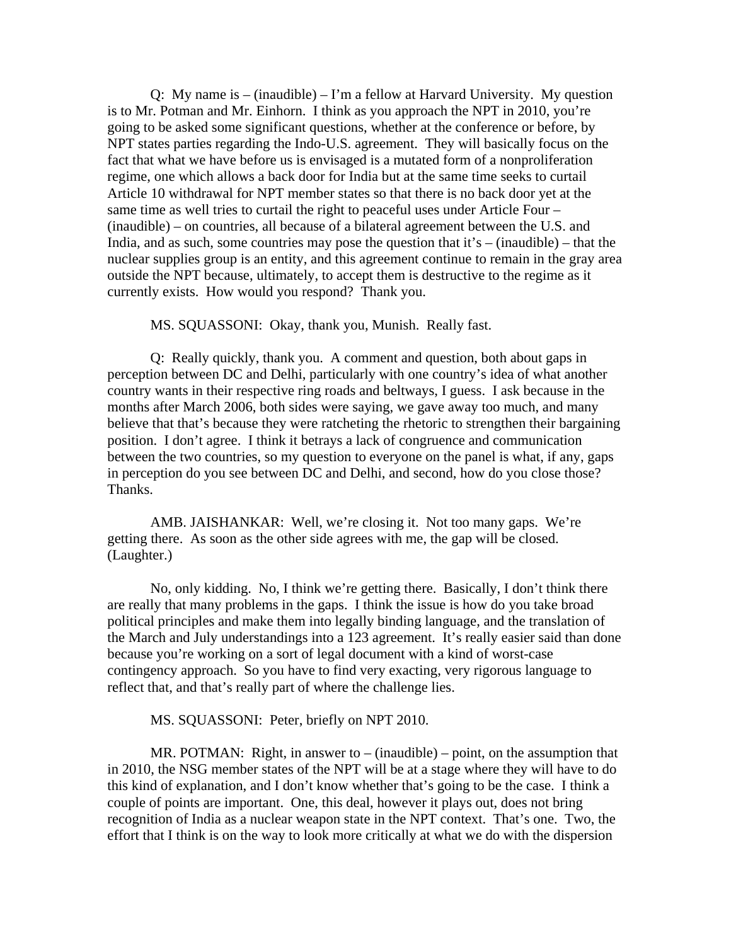Q: My name is  $-$  (inaudible)  $-$  I'm a fellow at Harvard University. My question is to Mr. Potman and Mr. Einhorn. I think as you approach the NPT in 2010, you're going to be asked some significant questions, whether at the conference or before, by NPT states parties regarding the Indo-U.S. agreement. They will basically focus on the fact that what we have before us is envisaged is a mutated form of a nonproliferation regime, one which allows a back door for India but at the same time seeks to curtail Article 10 withdrawal for NPT member states so that there is no back door yet at the same time as well tries to curtail the right to peaceful uses under Article Four – (inaudible) – on countries, all because of a bilateral agreement between the U.S. and India, and as such, some countries may pose the question that it's – (inaudible) – that the nuclear supplies group is an entity, and this agreement continue to remain in the gray area outside the NPT because, ultimately, to accept them is destructive to the regime as it currently exists. How would you respond? Thank you.

MS. SQUASSONI: Okay, thank you, Munish. Really fast.

Q: Really quickly, thank you. A comment and question, both about gaps in perception between DC and Delhi, particularly with one country's idea of what another country wants in their respective ring roads and beltways, I guess. I ask because in the months after March 2006, both sides were saying, we gave away too much, and many believe that that's because they were ratcheting the rhetoric to strengthen their bargaining position. I don't agree. I think it betrays a lack of congruence and communication between the two countries, so my question to everyone on the panel is what, if any, gaps in perception do you see between DC and Delhi, and second, how do you close those? Thanks.

AMB. JAISHANKAR: Well, we're closing it. Not too many gaps. We're getting there. As soon as the other side agrees with me, the gap will be closed. (Laughter.)

No, only kidding. No, I think we're getting there. Basically, I don't think there are really that many problems in the gaps. I think the issue is how do you take broad political principles and make them into legally binding language, and the translation of the March and July understandings into a 123 agreement. It's really easier said than done because you're working on a sort of legal document with a kind of worst-case contingency approach. So you have to find very exacting, very rigorous language to reflect that, and that's really part of where the challenge lies.

## MS. SQUASSONI: Peter, briefly on NPT 2010.

MR. POTMAN: Right, in answer to – (inaudible) – point, on the assumption that in 2010, the NSG member states of the NPT will be at a stage where they will have to do this kind of explanation, and I don't know whether that's going to be the case. I think a couple of points are important. One, this deal, however it plays out, does not bring recognition of India as a nuclear weapon state in the NPT context. That's one. Two, the effort that I think is on the way to look more critically at what we do with the dispersion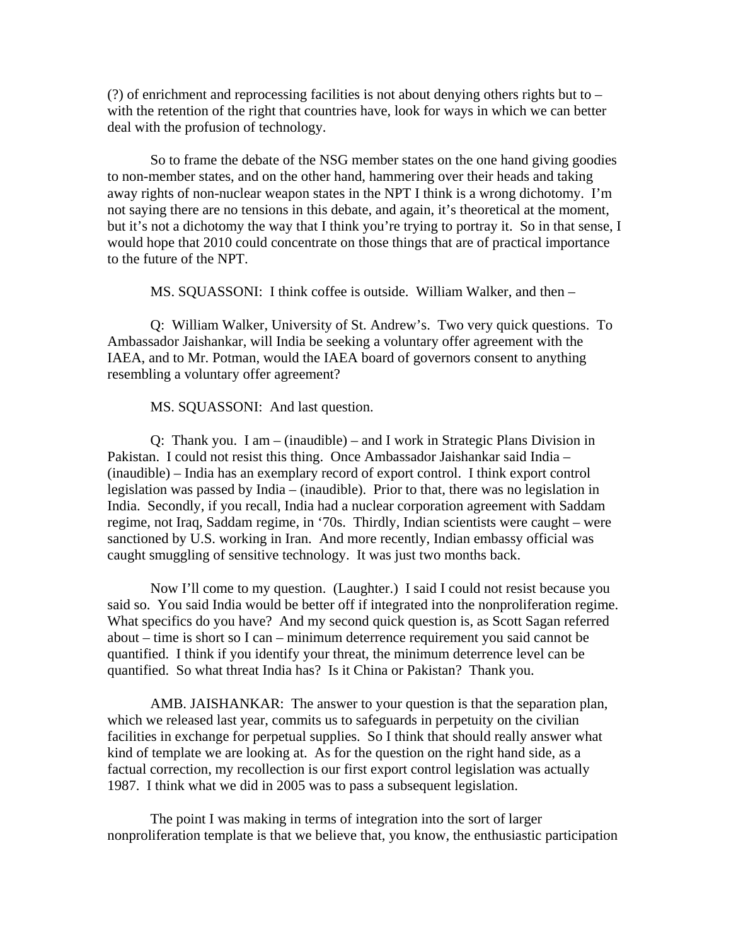(?) of enrichment and reprocessing facilities is not about denying others rights but to – with the retention of the right that countries have, look for ways in which we can better deal with the profusion of technology.

So to frame the debate of the NSG member states on the one hand giving goodies to non-member states, and on the other hand, hammering over their heads and taking away rights of non-nuclear weapon states in the NPT I think is a wrong dichotomy. I'm not saying there are no tensions in this debate, and again, it's theoretical at the moment, but it's not a dichotomy the way that I think you're trying to portray it. So in that sense, I would hope that 2010 could concentrate on those things that are of practical importance to the future of the NPT.

MS. SQUASSONI: I think coffee is outside. William Walker, and then –

Q: William Walker, University of St. Andrew's. Two very quick questions. To Ambassador Jaishankar, will India be seeking a voluntary offer agreement with the IAEA, and to Mr. Potman, would the IAEA board of governors consent to anything resembling a voluntary offer agreement?

MS. SQUASSONI: And last question.

Q: Thank you. I am – (inaudible) – and I work in Strategic Plans Division in Pakistan. I could not resist this thing. Once Ambassador Jaishankar said India – (inaudible) – India has an exemplary record of export control. I think export control legislation was passed by India – (inaudible). Prior to that, there was no legislation in India. Secondly, if you recall, India had a nuclear corporation agreement with Saddam regime, not Iraq, Saddam regime, in '70s. Thirdly, Indian scientists were caught – were sanctioned by U.S. working in Iran. And more recently, Indian embassy official was caught smuggling of sensitive technology. It was just two months back.

Now I'll come to my question. (Laughter.) I said I could not resist because you said so. You said India would be better off if integrated into the nonproliferation regime. What specifics do you have? And my second quick question is, as Scott Sagan referred about – time is short so I can – minimum deterrence requirement you said cannot be quantified. I think if you identify your threat, the minimum deterrence level can be quantified. So what threat India has? Is it China or Pakistan? Thank you.

AMB. JAISHANKAR: The answer to your question is that the separation plan, which we released last year, commits us to safeguards in perpetuity on the civilian facilities in exchange for perpetual supplies. So I think that should really answer what kind of template we are looking at. As for the question on the right hand side, as a factual correction, my recollection is our first export control legislation was actually 1987. I think what we did in 2005 was to pass a subsequent legislation.

The point I was making in terms of integration into the sort of larger nonproliferation template is that we believe that, you know, the enthusiastic participation